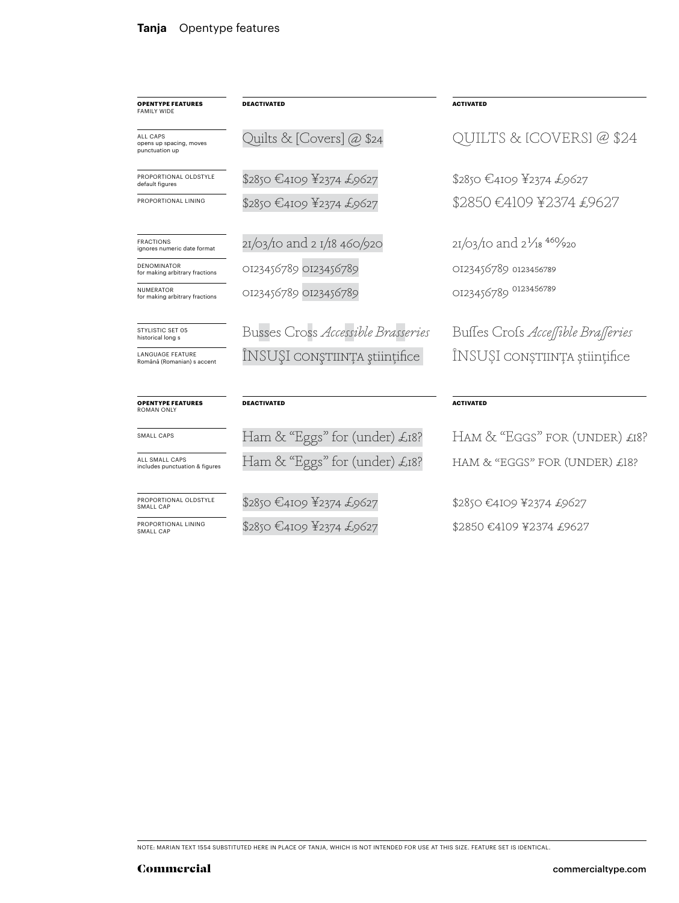| <b>OPENTYPE FEATURES</b><br><b>FAMILY WIDE</b>        | <b>DEACTIVATED</b>                     | <b>ACTIVATED</b>                                  |
|-------------------------------------------------------|----------------------------------------|---------------------------------------------------|
| ALL CAPS<br>opens up spacing, moves<br>punctuation up | Quilts & [Covers] @ \$24               | ILTS & ICOVERSI @ \$24                            |
| PROPORTIONAL OI DSTYLE<br>default figures             | \$2850 €4109 ¥2374 £9627               | \$2850 E4109 F2374 £9627                          |
| PROPORTIONAL LINING                                   | \$2850 €4109 ¥2374 £9627               | \$2850 €4109 ¥2374 £9627                          |
| <b>FRACTIONS</b><br>ignores numeric date format       | 21/03/10 and 2 1/18 460/920            | $21/03/10$ and $2^{1}/18^{46}/920$                |
| <b>DENOMINATOR</b><br>for making arbitrary fractions  | OI23456789 OI23456789                  | 0123456789 0123456789                             |
| NUMERATOR<br>for making arbitrary fractions           | OI23456789 OI23456789                  | OI23456789 0123456789                             |
| STYLISTIC SET 05<br>historical long s                 | Busses Cross Accessible Brasseries     | Buffes Crofs Accessible Brasseries                |
| <b>LANGUAGE FEATURE</b><br>Română (Romanian) s accent | INSUŞI conştiința științifice          | INSUȘI CONȘTIINȚA științifice                     |
| <b>OPENTYPE FEATURES</b><br><b>ROMAN ONLY</b>         | <b>DEACTIVATED</b>                     | <b>ACTIVATED</b>                                  |
| SMALL CAPS                                            | Ham & "Eggs" for (under) $\pounds$ 18? | $HAM \& \n\text{``EGGS'' FOR (UNDER)} \pounds18?$ |
| ALL SMALL CAPS<br>includes punctuation & figures      | Ham & "Eggs" for (under) £18?          | HAM & "EGGS" FOR (UNDER) £18?                     |

\$2850 €4109 ¥2374 £9627 \$2850 €4109 ¥2374 £9627

NOTE: MARIAN TEXT 1554 SUBSTITUTED HERE IN PLACE OF TANJA, WHICH IS NOT INTENDED FOR USE AT THIS SIZE. FEATURE SET IS IDENTICAL.

\$2850 €4109 ¥2374 £9627

\$2850 €4109 ¥2374 £9627

PROPORTIONAL OLDSTYLE SMALL CAP

PROPORTIONAL LINING SMALL CAP